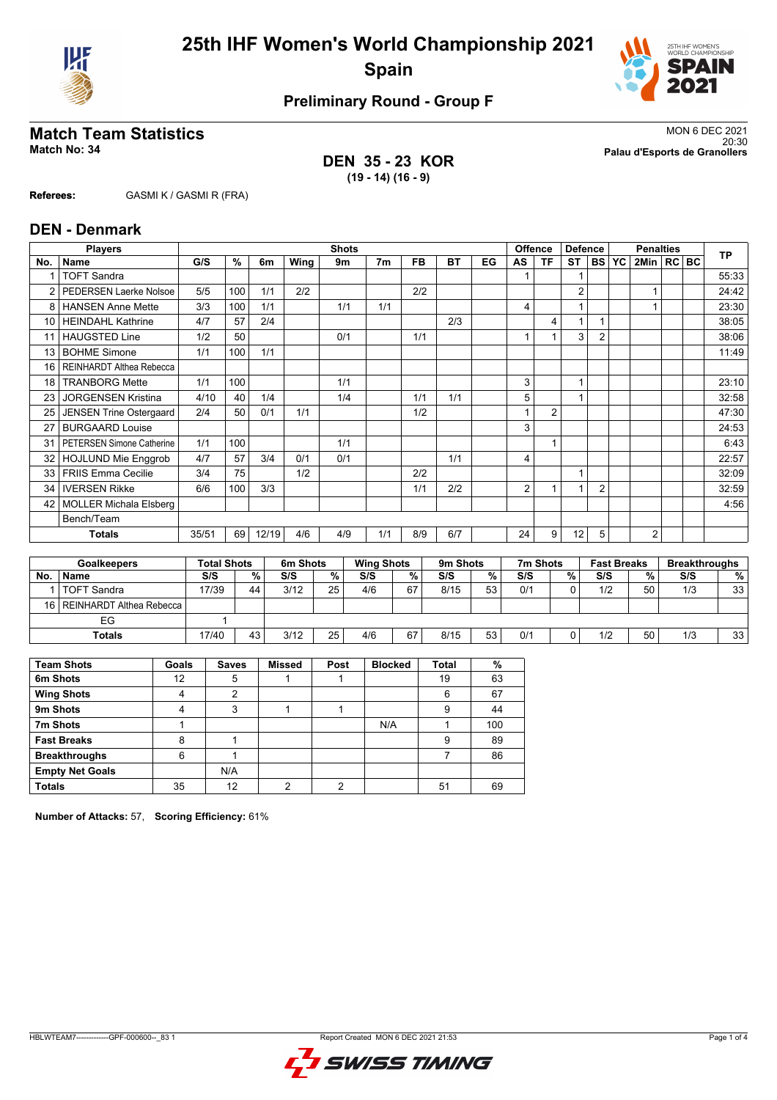



## **Preliminary Round - Group F**

**DEN 35 - 23 KOR (19 - 14) (16 - 9)**

**Match Team Statistics** MON 6 DEC 2021 20:30 **Match No: 34 Palau d'Esports de Granollers**

**Referees:** GASMI K / GASMI R (FRA)

### **DEN - Denmark**

|                      | <b>Players</b>                 | <b>Shots</b> |                    |       |          |               |                   |                         |           | <b>Offence</b> | <b>Defence</b> |                | <b>Penalties</b> |                |                    |                         | <b>TP</b> |     |                      |
|----------------------|--------------------------------|--------------|--------------------|-------|----------|---------------|-------------------|-------------------------|-----------|----------------|----------------|----------------|------------------|----------------|--------------------|-------------------------|-----------|-----|----------------------|
| No.                  | Name                           | G/S          | %                  | 6m    | Wing     | 9m            | 7 <sub>m</sub>    | <b>FB</b>               | <b>BT</b> | EG             | AS             | <b>TF</b>      | <b>ST</b>        | <b>BS</b>      | YC                 | 2Min                    | $RC$ BC   |     |                      |
|                      | <b>TOFT Sandra</b>             |              |                    |       |          |               |                   |                         |           |                |                |                |                  |                |                    |                         |           |     | 55:33                |
|                      | <b>PEDERSEN Laerke Nolsoe</b>  | 5/5          | 100                | 1/1   | 2/2      |               |                   | 2/2                     |           |                |                |                | $\overline{2}$   |                |                    | 1                       |           |     | 24:42                |
| 8                    | <b>HANSEN Anne Mette</b>       | 3/3          | 100                | 1/1   |          | 1/1           | 1/1               |                         |           |                | 4              |                |                  |                |                    |                         |           |     | 23:30                |
| 10 <sup>1</sup>      | <b>HEINDAHL Kathrine</b>       | 4/7          | 57                 | 2/4   |          |               |                   |                         | 2/3       |                |                | 4              | 1                |                |                    |                         |           |     | 38:05                |
| 11                   | <b>HAUGSTED Line</b>           | 1/2          | 50                 |       |          | 0/1           |                   | 1/1                     |           |                |                |                | 3                | $\overline{2}$ |                    |                         |           |     | 38:06                |
| 13                   | <b>BOHME Simone</b>            | 1/1          | 100                | 1/1   |          |               |                   |                         |           |                |                |                |                  |                |                    |                         |           |     | 11:49                |
| 16                   | REINHARDT Althea Rebecca       |              |                    |       |          |               |                   |                         |           |                |                |                |                  |                |                    |                         |           |     |                      |
| 18                   | <b>TRANBORG Mette</b>          | 1/1          | 100                |       |          | 1/1           |                   |                         |           |                | 3              |                |                  |                |                    |                         |           |     | 23:10                |
| 23                   | <b>JORGENSEN Kristina</b>      | 4/10         | 40                 | 1/4   |          | 1/4           |                   | 1/1                     | 1/1       |                | 5              |                | 1                |                |                    |                         |           |     | 32:58                |
| 25                   | <b>JENSEN Trine Ostergaard</b> | 2/4          | 50                 | 0/1   | 1/1      |               |                   | 1/2                     |           |                |                | $\overline{2}$ |                  |                |                    |                         |           |     | 47:30                |
| 27                   | <b>BURGAARD Louise</b>         |              |                    |       |          |               |                   |                         |           |                | 3              |                |                  |                |                    |                         |           |     | 24:53                |
| 31                   | PETERSEN Simone Catherine      | 1/1          | 100                |       |          | 1/1           |                   |                         |           |                |                | $\overline{1}$ |                  |                |                    |                         |           |     | 6:43                 |
| 32                   | <b>HOJLUND Mie Enggrob</b>     | 4/7          | 57                 | 3/4   | 0/1      | 0/1           |                   |                         | 1/1       |                | 4              |                |                  |                |                    |                         |           |     | 22:57                |
| 33                   | <b>FRIIS Emma Cecilie</b>      | 3/4          | 75                 |       | 1/2      |               |                   | 2/2                     |           |                |                |                | 1                |                |                    |                         |           |     | 32:09                |
| 34                   | <b>IVERSEN Rikke</b>           | 6/6          | 100                | 3/3   |          |               |                   | 1/1                     | 2/2       |                | $\overline{2}$ | $\overline{1}$ |                  | $\overline{2}$ |                    |                         |           |     | 32:59                |
| 42                   | <b>MOLLER Michala Elsberg</b>  |              |                    |       |          |               |                   |                         |           |                |                |                |                  |                |                    |                         |           |     | 4:56                 |
|                      | Bench/Team                     |              |                    |       |          |               |                   |                         |           |                |                |                |                  |                |                    |                         |           |     |                      |
| <b>Totals</b>        |                                | 35/51        | 69                 | 12/19 | 4/6      | 4/9           | 1/1               | 8/9                     | 6/7       |                | 24             | 9              | 12               | 5              |                    | $\overline{2}$          |           |     |                      |
|                      |                                |              |                    |       |          |               |                   |                         |           |                |                |                |                  |                |                    |                         |           |     |                      |
|                      | <b>Goalkeepers</b>             |              | <b>Total Shots</b> |       | 6m Shots |               | <b>Wing Shots</b> |                         | 9m Shots  |                |                | 7m Shots       |                  |                | <b>Fast Breaks</b> |                         |           |     | <b>Breakthroughs</b> |
| <b>N<sub>n</sub></b> | <b>Namo</b>                    | C/C          |                    | 0/    | C/C      | $\mathbf{0}I$ | C/C               | $\mathbf{O}/\mathbf{O}$ | C/C       | $\mathbf{0}$   | C/C            |                | $\mathbf{0}$     | C/C            |                    | $\mathbf{O}/\mathbf{O}$ |           | C/C | $\mathbf{0}$         |

|                    |       |                               | ---------- |   | .                                  |    | ---------- |    | .   |   | .   |    |     |                 |
|--------------------|-------|-------------------------------|------------|---|------------------------------------|----|------------|----|-----|---|-----|----|-----|-----------------|
| <b>Name</b>        | S/S   | %                             | S/S        | % | S/S                                |    | S/S        | %  | S/S | % | S/S | %  | S/S | %               |
| <b>TOFT Sandra</b> | 17/39 | 44                            | 3/12       |   | 4/6                                | 67 | 8/15       | 53 | 0/1 |   | 1/2 | 50 | 1/3 | 33              |
|                    |       |                               |            |   |                                    |    |            |    |     |   |     |    |     |                 |
| EG                 |       |                               |            |   |                                    |    |            |    |     |   |     |    |     |                 |
| <b>Totals</b>      | 17/40 | 43                            | 3/12       |   | 4/6                                | 67 | 8/15       | 53 | 0/1 | 0 | 1/2 | 50 | 1/3 | 33 <sub>1</sub> |
|                    |       | 16   REINHARDT Althea Rebecca | .          |   | 25 <sub>1</sub><br>25 <sub>1</sub> |    |            | %  |     |   |     |    |     |                 |

| <b>Team Shots</b>      | Goals | <b>Saves</b> | <b>Missed</b> | Post | <b>Blocked</b> | <b>Total</b> | %   |
|------------------------|-------|--------------|---------------|------|----------------|--------------|-----|
| 6m Shots               | 12    | 5            |               |      |                | 19           | 63  |
| <b>Wing Shots</b>      |       | 2            |               |      |                | 6            | 67  |
| 9m Shots               |       | 3            |               |      |                | 9            | 44  |
| 7m Shots               |       |              |               |      | N/A            |              | 100 |
| <b>Fast Breaks</b>     | 8     |              |               |      |                | 9            | 89  |
| <b>Breakthroughs</b>   | 6     |              |               |      |                |              | 86  |
| <b>Empty Net Goals</b> |       | N/A          |               |      |                |              |     |
| <b>Totals</b>          | 35    | 12           | ∩             | ◠    |                | 51           | 69  |

**Number of Attacks:** 57, **Scoring Efficiency:** 61%

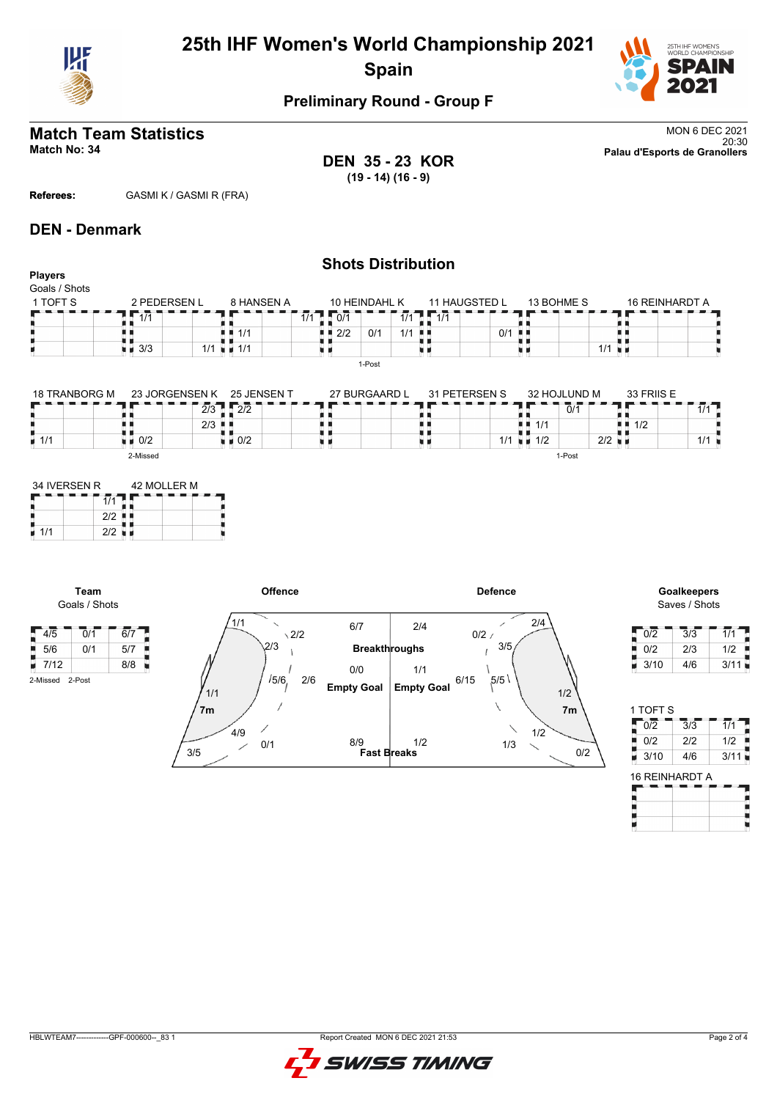

# **25th IHF Women's World Championship 2021 Spain**



## **Preliminary Round - Group F**

# **Match Team Statistics** MON 6 DEC 2021

**DEN 35 - 23 KOR (19 - 14) (16 - 9)**

**Shots Distribution**

20:30 **Match No: 34 Palau d'Esports de Granollers**

**Referees:** GASMI K / GASMI R (FRA)

### **DEN - Denmark**

### **Players** Goals / Shots 1 TOFT S 2 PEDERSEN L  $8$  HANSEN A 10 HEINDAHL K 13 BOHME S 16 REINHARDT A 11 HAUGSTED L  $7 - 1/1$ r  $1/1$  0 0/1  $1/1$  $1/1$ A A  $\frac{1}{3}$ <br> $\frac{1}{3}$  3/3  $2/2$  0/1 1/1 H 0/1 真真  $1/1$  $\frac{1}{1/1}$ 1/1 n e u i ù. 1-Post 25 JENSEN T 32 HOJLUND M 18 TRANBORG M 23 JORGENSEN K 27 BURGAARD L 31 PETERSEN S 33 FRIIS E

| 18 TRANBORG M      | -23 JORGENSEN K      | -25 JENSEN T | 27 BURGAARD L | 31 PETERSEN S | 32 HOJLUND M                | 33 FRIIS E                        |
|--------------------|----------------------|--------------|---------------|---------------|-----------------------------|-----------------------------------|
|                    | 2/3                  | 2/2          |               |               | 0/1                         | 414                               |
|                    | $2/3$ $\blacksquare$ |              |               |               | 1/1                         | $\blacksquare$ $\blacksquare$ 1/2 |
| $\blacksquare$ 1/1 | 0/2                  | 0/2          |               | 1/1           | $2/2$ $\blacksquare$<br>1/2 | 414                               |
|                    | 2-Missed             |              |               |               | 1-Post                      |                                   |

| 34 IVERSEN R |     | 42 MOLLER M |  |  |  |  |  |  |  |
|--------------|-----|-------------|--|--|--|--|--|--|--|
|              |     |             |  |  |  |  |  |  |  |
|              | 212 |             |  |  |  |  |  |  |  |
| 1/1          | 212 |             |  |  |  |  |  |  |  |

**Team** Goals / Shots

2-Missed 2-Post

P



# Saves / Shots

| 0/2  | 3/3 | 1/1  |
|------|-----|------|
| 0/2  | 2/3 | 1/2  |
| 3/10 | 4/6 | 3/11 |

| 1 TOFT S |     |      |
|----------|-----|------|
| 012      | 3/3 | 1/1  |
| 0/2      | 212 | 1/2  |
| 3/10     | 4/6 | 3/11 |
|          |     |      |

|   | 16 REINHARDT A |     |  |  |
|---|----------------|-----|--|--|
| œ |                | ___ |  |  |

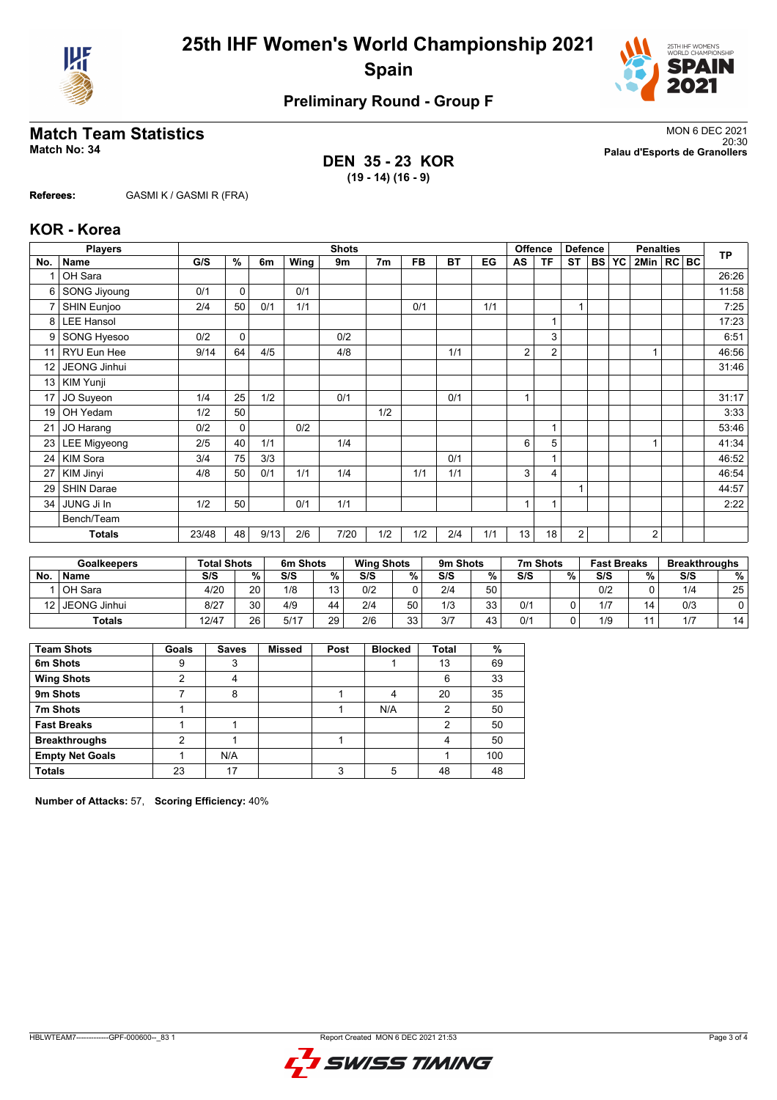



## **Preliminary Round - Group F**

**DEN 35 - 23 KOR (19 - 14) (16 - 9)**

**Match Team Statistics** MON 6 DEC 2021 20:30 **Match No: 34 Palau d'Esports de Granollers**

**Referees:** GASMI K / GASMI R (FRA)

### **KOR - Korea**

|                 | <b>Players</b>      | <b>Shots</b> |             |      |      |      |                |           |           |     | <b>Offence</b> | <b>Defence</b> |           | <b>Penalties</b> |           |                |  | <b>TP</b> |       |
|-----------------|---------------------|--------------|-------------|------|------|------|----------------|-----------|-----------|-----|----------------|----------------|-----------|------------------|-----------|----------------|--|-----------|-------|
| No.             | <b>Name</b>         | G/S          | %           | 6m   | Wing | 9m   | 7 <sub>m</sub> | <b>FB</b> | <b>BT</b> | EG  | AS             | <b>TF</b>      | <b>ST</b> | <b>BS</b>        | <b>YC</b> | 2Min   RC   BC |  |           |       |
|                 | OH Sara             |              |             |      |      |      |                |           |           |     |                |                |           |                  |           |                |  |           | 26:26 |
| 6               | <b>SONG Jiyoung</b> | 0/1          | $\mathbf 0$ |      | 0/1  |      |                |           |           |     |                |                |           |                  |           |                |  |           | 11:58 |
| $\overline{7}$  | SHIN Eunjoo         | 2/4          | 50          | 0/1  | 1/1  |      |                | 0/1       |           | 1/1 |                |                | 1         |                  |           |                |  |           | 7:25  |
| 8               | <b>LEE Hansol</b>   |              |             |      |      |      |                |           |           |     |                |                |           |                  |           |                |  |           | 17:23 |
| 9               | SONG Hyesoo         | 0/2          | $\mathbf 0$ |      |      | 0/2  |                |           |           |     |                | 3              |           |                  |           |                |  |           | 6:51  |
| 11              | RYU Eun Hee         | 9/14         | 64          | 4/5  |      | 4/8  |                |           | 1/1       |     | 2              | 2              |           |                  |           |                |  |           | 46:56 |
| 12 <sup>2</sup> | JEONG Jinhui        |              |             |      |      |      |                |           |           |     |                |                |           |                  |           |                |  |           | 31:46 |
| 13              | KIM Yunji           |              |             |      |      |      |                |           |           |     |                |                |           |                  |           |                |  |           |       |
| 17              | JO Suyeon           | 1/4          | 25          | 1/2  |      | 0/1  |                |           | 0/1       |     | $\overline{ }$ |                |           |                  |           |                |  |           | 31:17 |
| 19              | OH Yedam            | 1/2          | 50          |      |      |      | 1/2            |           |           |     |                |                |           |                  |           |                |  |           | 3:33  |
| 21              | JO Harang           | 0/2          | $\mathbf 0$ |      | 0/2  |      |                |           |           |     |                |                |           |                  |           |                |  |           | 53:46 |
| 23              | <b>LEE Migyeong</b> | 2/5          | 40          | 1/1  |      | 1/4  |                |           |           |     | 6              | 5              |           |                  |           |                |  |           | 41:34 |
| 24              | <b>KIM Sora</b>     | 3/4          | 75          | 3/3  |      |      |                |           | 0/1       |     |                |                |           |                  |           |                |  |           | 46:52 |
| 27              | KIM Jinyi           | 4/8          | 50          | 0/1  | 1/1  | 1/4  |                | 1/1       | 1/1       |     | 3              | 4              |           |                  |           |                |  |           | 46:54 |
| 29              | <b>SHIN Darae</b>   |              |             |      |      |      |                |           |           |     |                |                | 1         |                  |           |                |  |           | 44:57 |
| 34              | JUNG Ji In          | 1/2          | 50          |      | 0/1  | 1/1  |                |           |           |     | $\overline{A}$ | $\overline{ }$ |           |                  |           |                |  |           | 2:22  |
|                 | Bench/Team          |              |             |      |      |      |                |           |           |     |                |                |           |                  |           |                |  |           |       |
|                 | <b>Totals</b>       | 23/48        | 48          | 9/13 | 2/6  | 7/20 | 1/2            | 1/2       | 2/4       | 1/1 | 13             | 18             | 2         |                  |           | $\overline{2}$ |  |           |       |

| <b>Goalkeepers</b> |              | <b>Total Shots</b> |                 | 6m Shots |    |     | <b>Wing Shots</b> |     | 9m Shots | 7m Shots |   | <b>Fast Breaks</b> |    | <b>Breakthroughs</b> |    |
|--------------------|--------------|--------------------|-----------------|----------|----|-----|-------------------|-----|----------|----------|---|--------------------|----|----------------------|----|
| <b>No</b>          | <b>Name</b>  | S/S                | %               | S/S      | %  | S/S | %                 | S/S | %        | S/S      | % | S/S                | %  | S/S                  | %  |
|                    | OH Sara      | 4/20               | 20 <sub>1</sub> | 1/8      | 13 | 0/2 |                   | 2/4 | 50       |          |   | 0/2                |    | 1/4                  | 25 |
| 12                 | JEONG Jinhui | 8/27               | 30              | 4/9      | 44 | 2/4 | 50                | 1/3 | 33       | 0/1      |   | 1/7                | 14 | 0/3                  |    |
| <b>Totals</b>      |              | 12/47              | 26              | 5/17     | 29 | 2/6 | ৭৭<br>ບບ          | 3/7 | 43       | 0/1      |   | 1/9                |    | 1/7                  | 14 |

| <b>Team Shots</b>      | Goals | <b>Saves</b> | <b>Missed</b> | Post | <b>Blocked</b> | <b>Total</b> | %   |
|------------------------|-------|--------------|---------------|------|----------------|--------------|-----|
| 6m Shots               | 9     | 3            |               |      |                | 13           | 69  |
| <b>Wing Shots</b>      | っ     | 4            |               |      |                | 6            | 33  |
| 9m Shots               |       | 8            |               |      |                | 20           | 35  |
| 7m Shots               |       |              |               |      | N/A            | 2            | 50  |
| <b>Fast Breaks</b>     |       |              |               |      |                | 2            | 50  |
| <b>Breakthroughs</b>   | 2     |              |               |      |                | 4            | 50  |
| <b>Empty Net Goals</b> |       | N/A          |               |      |                |              | 100 |
| <b>Totals</b>          | 23    | 17           |               |      |                | 48           | 48  |

**Number of Attacks:** 57, **Scoring Efficiency:** 40%